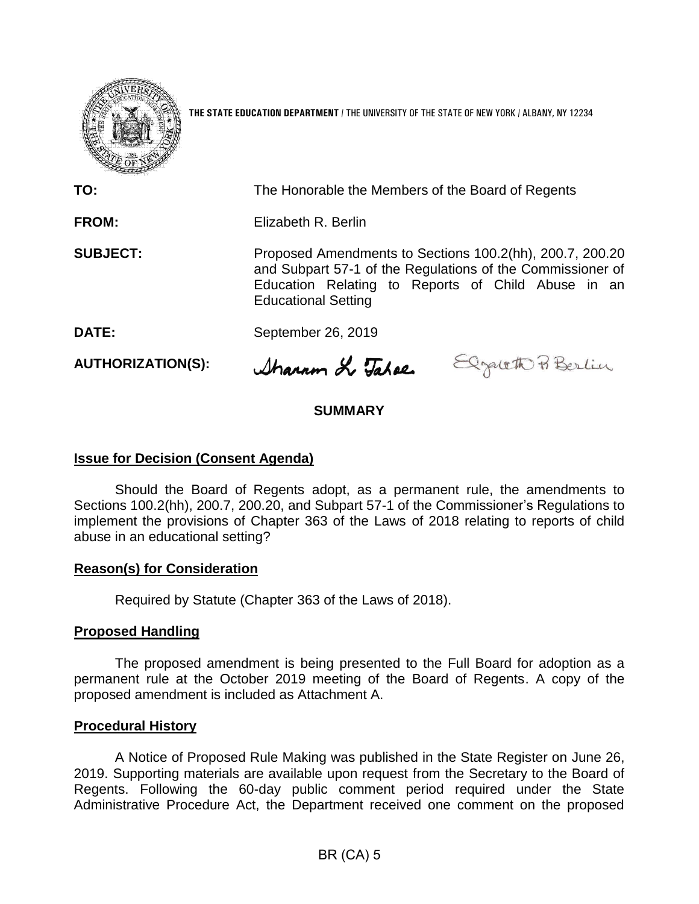

**THE STATE EDUCATION DEPARTMENT** / THE UNIVERSITY OF THE STATE OF NEW YORK / ALBANY, NY 12234

**TO:** The Honorable the Members of the Board of Regents **FROM:** Elizabeth R. Berlin **SUBJECT:** Proposed Amendments to Sections 100.2(hh), 200.7, 200.20 and Subpart 57-1 of the Regulations of the Commissioner of Education Relating to Reports of Child Abuse in an Educational Setting **DATE:** September 26, 2019

**AUTHORIZATION(S):**

Sharam & Tahae Elgateth Po Berlin

# **SUMMARY**

# **Issue for Decision (Consent Agenda)**

Should the Board of Regents adopt, as a permanent rule, the amendments to Sections 100.2(hh), 200.7, 200.20, and Subpart 57-1 of the Commissioner's Regulations to implement the provisions of Chapter 363 of the Laws of 2018 relating to reports of child abuse in an educational setting?

### **Reason(s) for Consideration**

Required by Statute (Chapter 363 of the Laws of 2018).

# **Proposed Handling**

The proposed amendment is being presented to the Full Board for adoption as a permanent rule at the October 2019 meeting of the Board of Regents. A copy of the proposed amendment is included as Attachment A.

### **Procedural History**

A Notice of Proposed Rule Making was published in the State Register on June 26, 2019. Supporting materials are available upon request from the Secretary to the Board of Regents. Following the 60-day public comment period required under the State Administrative Procedure Act, the Department received one comment on the proposed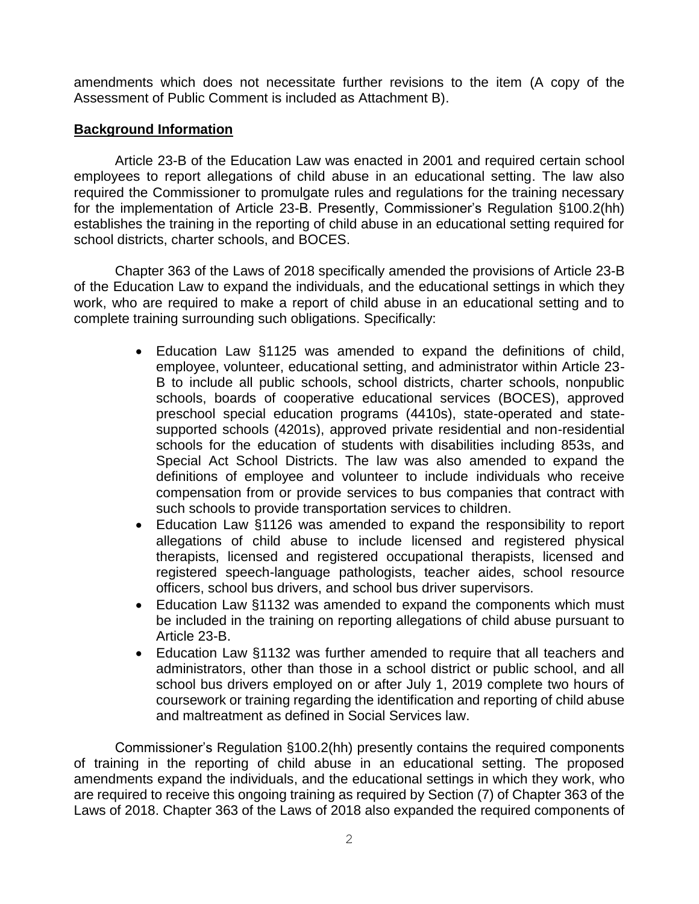amendments which does not necessitate further revisions to the item (A copy of the Assessment of Public Comment is included as Attachment B).

# **Background Information**

Article 23-B of the Education Law was enacted in 2001 and required certain school employees to report allegations of child abuse in an educational setting. The law also required the Commissioner to promulgate rules and regulations for the training necessary for the implementation of Article 23-B. Presently, Commissioner's Regulation §100.2(hh) establishes the training in the reporting of child abuse in an educational setting required for school districts, charter schools, and BOCES.

Chapter 363 of the Laws of 2018 specifically amended the provisions of Article 23-B of the Education Law to expand the individuals, and the educational settings in which they work, who are required to make a report of child abuse in an educational setting and to complete training surrounding such obligations. Specifically:

- Education Law §1125 was amended to expand the definitions of child, employee, volunteer, educational setting, and administrator within Article 23- B to include all public schools, school districts, charter schools, nonpublic schools, boards of cooperative educational services (BOCES), approved preschool special education programs (4410s), state-operated and statesupported schools (4201s), approved private residential and non-residential schools for the education of students with disabilities including 853s, and Special Act School Districts. The law was also amended to expand the definitions of employee and volunteer to include individuals who receive compensation from or provide services to bus companies that contract with such schools to provide transportation services to children.
- Education Law §1126 was amended to expand the responsibility to report allegations of child abuse to include licensed and registered physical therapists, licensed and registered occupational therapists, licensed and registered speech-language pathologists, teacher aides, school resource officers, school bus drivers, and school bus driver supervisors.
- Education Law §1132 was amended to expand the components which must be included in the training on reporting allegations of child abuse pursuant to Article 23-B.
- Education Law §1132 was further amended to require that all teachers and administrators, other than those in a school district or public school, and all school bus drivers employed on or after July 1, 2019 complete two hours of coursework or training regarding the identification and reporting of child abuse and maltreatment as defined in Social Services law.

Commissioner's Regulation §100.2(hh) presently contains the required components of training in the reporting of child abuse in an educational setting. The proposed amendments expand the individuals, and the educational settings in which they work, who are required to receive this ongoing training as required by Section (7) of Chapter 363 of the Laws of 2018. Chapter 363 of the Laws of 2018 also expanded the required components of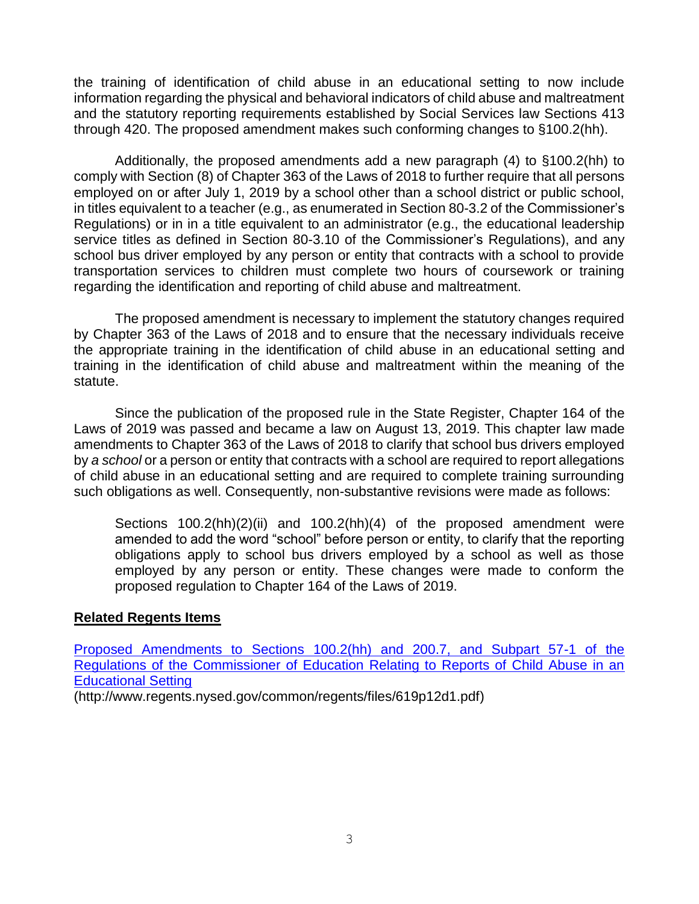the training of identification of child abuse in an educational setting to now include information regarding the physical and behavioral indicators of child abuse and maltreatment and the statutory reporting requirements established by Social Services law Sections 413 through 420. The proposed amendment makes such conforming changes to §100.2(hh).

Additionally, the proposed amendments add a new paragraph (4) to §100.2(hh) to comply with Section (8) of Chapter 363 of the Laws of 2018 to further require that all persons employed on or after July 1, 2019 by a school other than a school district or public school, in titles equivalent to a teacher (e.g., as enumerated in Section 80-3.2 of the Commissioner's Regulations) or in in a title equivalent to an administrator (e.g., the educational leadership service titles as defined in Section 80-3.10 of the Commissioner's Regulations), and any school bus driver employed by any person or entity that contracts with a school to provide transportation services to children must complete two hours of coursework or training regarding the identification and reporting of child abuse and maltreatment.

The proposed amendment is necessary to implement the statutory changes required by Chapter 363 of the Laws of 2018 and to ensure that the necessary individuals receive the appropriate training in the identification of child abuse in an educational setting and training in the identification of child abuse and maltreatment within the meaning of the statute.

Since the publication of the proposed rule in the State Register, Chapter 164 of the Laws of 2019 was passed and became a law on August 13, 2019. This chapter law made amendments to Chapter 363 of the Laws of 2018 to clarify that school bus drivers employed by *a school* or a person or entity that contracts with a school are required to report allegations of child abuse in an educational setting and are required to complete training surrounding such obligations as well. Consequently, non-substantive revisions were made as follows:

Sections 100.2(hh)(2)(ii) and 100.2(hh)(4) of the proposed amendment were amended to add the word "school" before person or entity, to clarify that the reporting obligations apply to school bus drivers employed by a school as well as those employed by any person or entity. These changes were made to conform the proposed regulation to Chapter 164 of the Laws of 2019.

# **Related Regents Items**

[Proposed Amendments to Sections 100.2\(hh\) and 200.7, and Subpart 57-1 of the](http://www.regents.nysed.gov/common/regents/files/619p12d1.pdf)  [Regulations of the Commissioner of Education Relating to Reports of Child Abuse in an](http://www.regents.nysed.gov/common/regents/files/619p12d1.pdf)  [Educational Setting](http://www.regents.nysed.gov/common/regents/files/619p12d1.pdf)

(http://www.regents.nysed.gov/common/regents/files/619p12d1.pdf)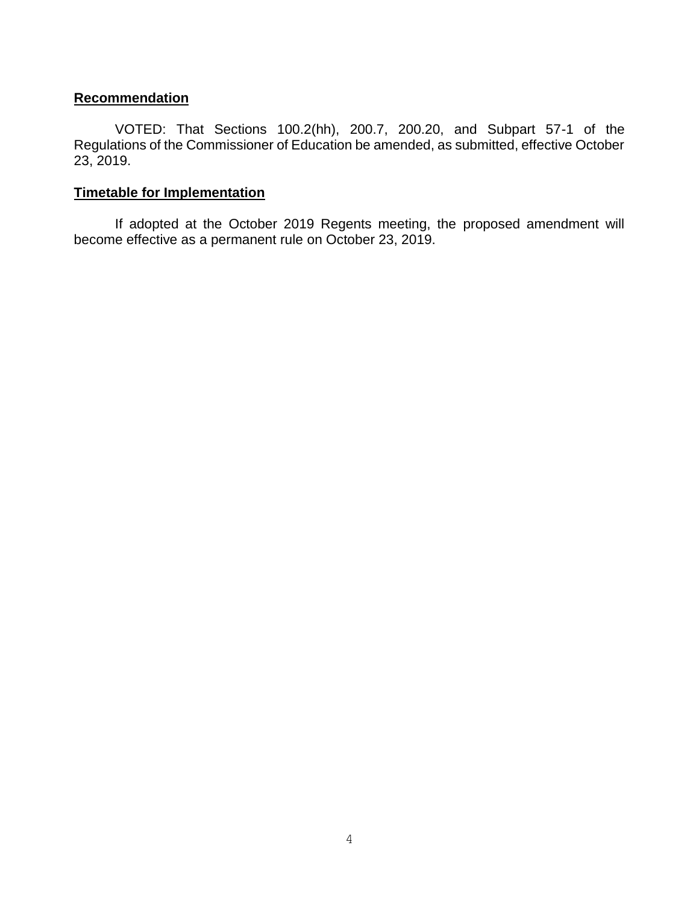### **Recommendation**

VOTED: That Sections 100.2(hh), 200.7, 200.20, and Subpart 57-1 of the Regulations of the Commissioner of Education be amended, as submitted, effective October 23, 2019.

# **Timetable for Implementation**

If adopted at the October 2019 Regents meeting, the proposed amendment will become effective as a permanent rule on October 23, 2019.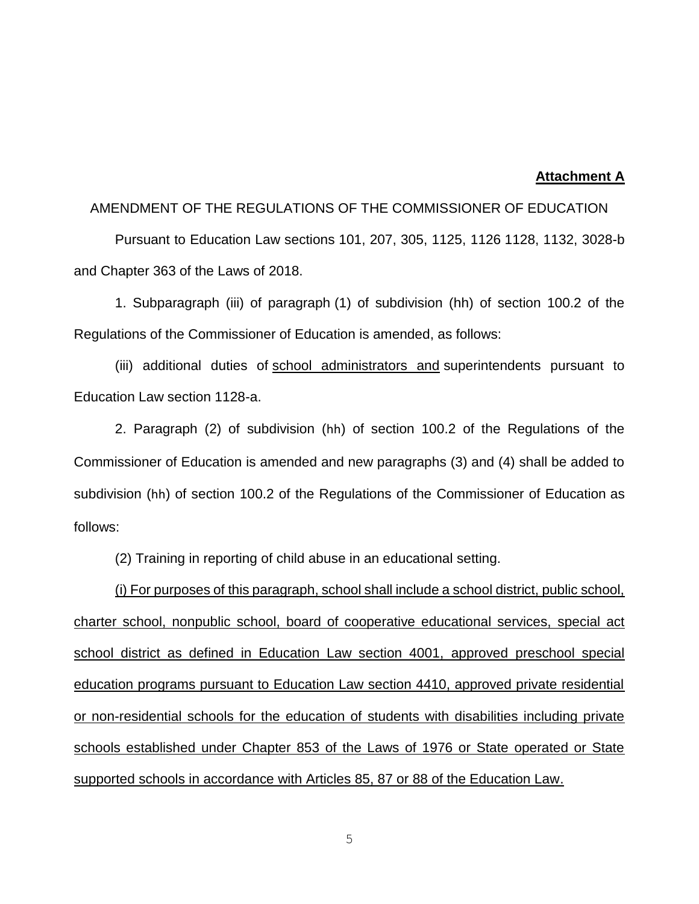#### **Attachment A**

#### AMENDMENT OF THE REGULATIONS OF THE COMMISSIONER OF EDUCATION

Pursuant to Education Law sections 101, 207, 305, 1125, 1126 1128, 1132, 3028-b and Chapter 363 of the Laws of 2018.

1. Subparagraph (iii) of paragraph (1) of subdivision (hh) of section 100.2 of the Regulations of the Commissioner of Education is amended, as follows:

(iii) additional duties of school administrators and superintendents pursuant to Education Law section 1128-a.

2. Paragraph (2) of subdivision (hh) of section 100.2 of the Regulations of the Commissioner of Education is amended and new paragraphs (3) and (4) shall be added to subdivision (hh) of section 100.2 of the Regulations of the Commissioner of Education as follows:

(2) Training in reporting of child abuse in an educational setting.

(i) For purposes of this paragraph, school shall include a school district, public school, charter school, nonpublic school, board of cooperative educational services, special act school district as defined in Education Law section 4001, approved preschool special education programs pursuant to Education Law section 4410, approved private residential or non-residential schools for the education of students with disabilities including private schools established under Chapter 853 of the Laws of 1976 or State operated or State supported schools in accordance with Articles 85, 87 or 88 of the Education Law.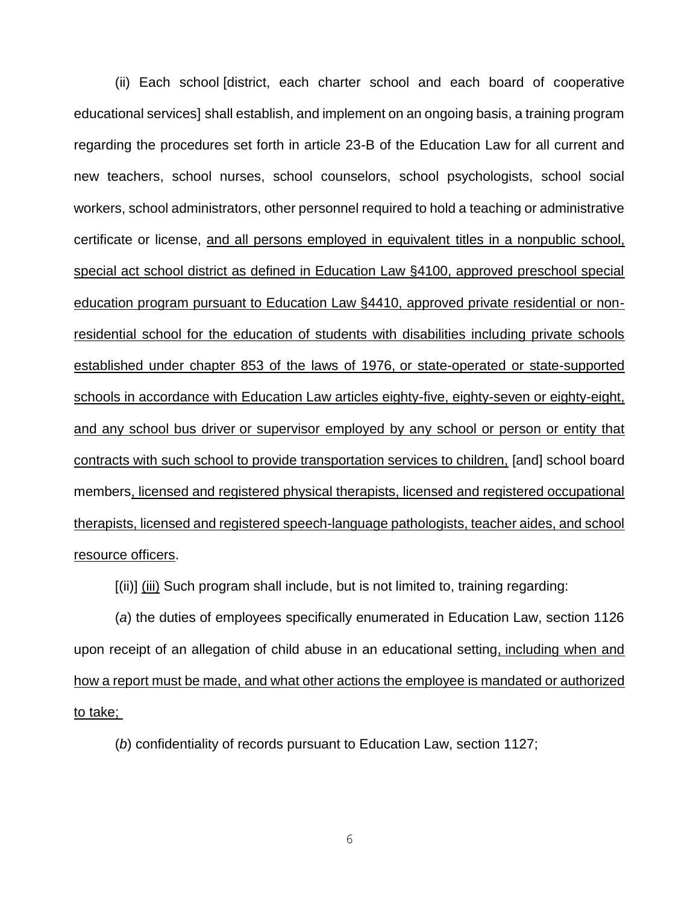(ii) Each school [district, each charter school and each board of cooperative educational services] shall establish, and implement on an ongoing basis, a training program regarding the procedures set forth in article 23-B of the Education Law for all current and new teachers, school nurses, school counselors, school psychologists, school social workers, school administrators, other personnel required to hold a teaching or administrative certificate or license, and all persons employed in equivalent titles in a nonpublic school, special act school district as defined in Education Law §4100, approved preschool special education program pursuant to Education Law §4410, approved private residential or nonresidential school for the education of students with disabilities including private schools established under chapter 853 of the laws of 1976, or state-operated or state-supported schools in accordance with Education Law articles eighty-five, eighty-seven or eighty-eight, and any school bus driver or supervisor employed by any school or person or entity that contracts with such school to provide transportation services to children, [and] school board members, licensed and registered physical therapists, licensed and registered occupational therapists, licensed and registered speech-language pathologists, teacher aides, and school resource officers.

[(ii)] (iii) Such program shall include, but is not limited to, training regarding:

(*a*) the duties of employees specifically enumerated in Education Law, section 1126 upon receipt of an allegation of child abuse in an educational setting, including when and how a report must be made, and what other actions the employee is mandated or authorized to take;

(*b*) confidentiality of records pursuant to Education Law, section 1127;

6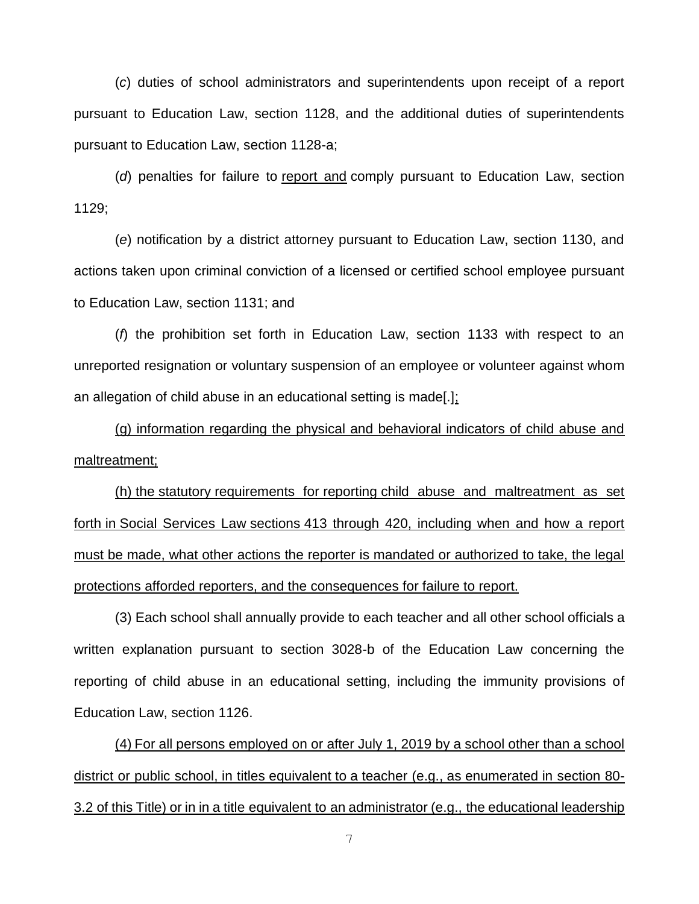(*c*) duties of school administrators and superintendents upon receipt of a report pursuant to Education Law, section 1128, and the additional duties of superintendents pursuant to Education Law, section 1128-a;

(*d*) penalties for failure to report and comply pursuant to Education Law, section 1129;

(*e*) notification by a district attorney pursuant to Education Law, section 1130, and actions taken upon criminal conviction of a licensed or certified school employee pursuant to Education Law, section 1131; and

(*f*) the prohibition set forth in Education Law, section 1133 with respect to an unreported resignation or voluntary suspension of an employee or volunteer against whom an allegation of child abuse in an educational setting is made[.];

(g) information regarding the physical and behavioral indicators of child abuse and maltreatment;

(h) the statutory requirements for reporting child abuse and maltreatment as set forth in Social Services Law sections 413 through 420, including when and how a report must be made, what other actions the reporter is mandated or authorized to take, the legal protections afforded reporters, and the consequences for failure to report.

(3) Each school shall annually provide to each teacher and all other school officials a written explanation pursuant to section 3028-b of the Education Law concerning the reporting of child abuse in an educational setting, including the immunity provisions of Education Law, section 1126.

(4) For all persons employed on or after July 1, 2019 by a school other than a school district or public school, in titles equivalent to a teacher (e.g., as enumerated in section 80- 3.2 of this Title) or in in a title equivalent to an administrator (e.g., the educational leadership

7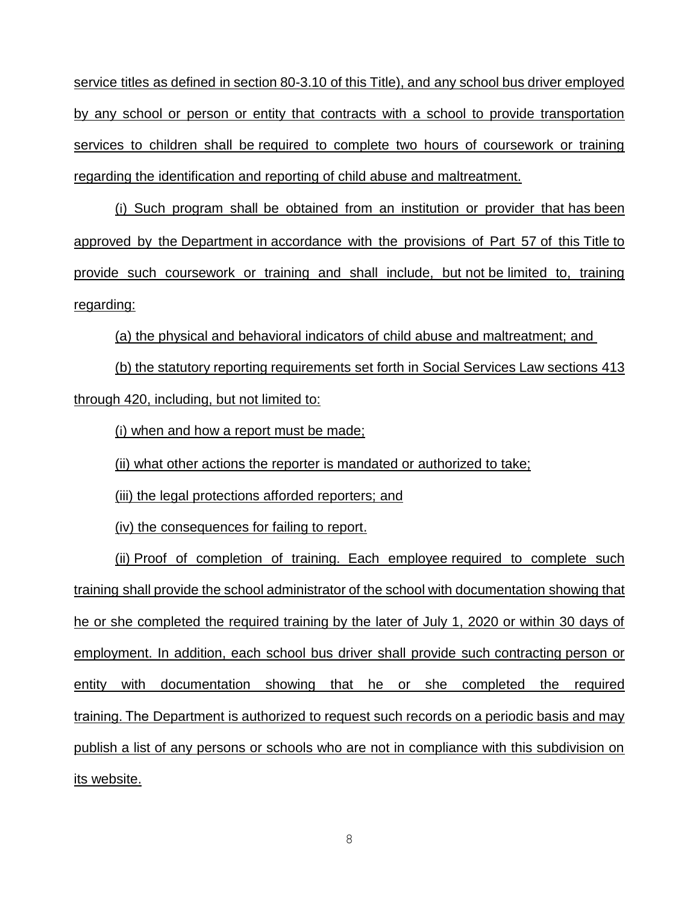service titles as defined in section 80-3.10 of this Title), and any school bus driver employed by any school or person or entity that contracts with a school to provide transportation services to children shall be required to complete two hours of coursework or training regarding the identification and reporting of child abuse and maltreatment.

(i) Such program shall be obtained from an institution or provider that has been approved by the Department in accordance with the provisions of Part 57 of this Title to provide such coursework or training and shall include, but not be limited to, training regarding:

(a) the physical and behavioral indicators of child abuse and maltreatment; and

(b) the statutory reporting requirements set forth in Social Services Law sections 413 through 420, including, but not limited to:

(i) when and how a report must be made;

(ii) what other actions the reporter is mandated or authorized to take;

(iii) the legal protections afforded reporters; and

(iv) the consequences for failing to report.

(ii) Proof of completion of training. Each employee required to complete such training shall provide the school administrator of the school with documentation showing that he or she completed the required training by the later of July 1, 2020 or within 30 days of employment. In addition, each school bus driver shall provide such contracting person or entity with documentation showing that he or she completed the required training. The Department is authorized to request such records on a periodic basis and may publish a list of any persons or schools who are not in compliance with this subdivision on its website.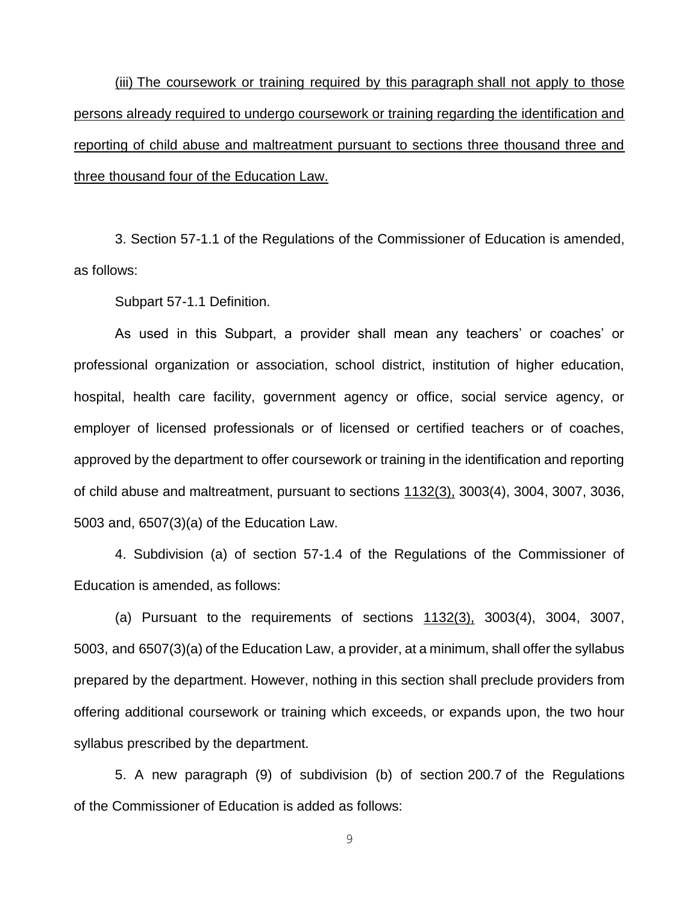(iii) The coursework or training required by this paragraph shall not apply to those persons already required to undergo coursework or training regarding the identification and reporting of child abuse and maltreatment pursuant to sections three thousand three and three thousand four of the Education Law.

3. Section 57-1.1 of the Regulations of the Commissioner of Education is amended, as follows:

Subpart 57-1.1 Definition.

As used in this Subpart, a provider shall mean any teachers' or coaches' or professional organization or association, school district, institution of higher education, hospital, health care facility, government agency or office, social service agency, or employer of licensed professionals or of licensed or certified teachers or of coaches, approved by the department to offer coursework or training in the identification and reporting of child abuse and maltreatment, pursuant to sections 1132(3), 3003(4), 3004, 3007, 3036, 5003 and, 6507(3)(a) of the Education Law.

4. Subdivision (a) of section 57-1.4 of the Regulations of the Commissioner of Education is amended, as follows:

(a) Pursuant to the requirements of sections 1132(3), 3003(4), 3004, 3007, 5003, and 6507(3)(a) of the Education Law, a provider, at a minimum, shall offer the syllabus prepared by the department. However, nothing in this section shall preclude providers from offering additional coursework or training which exceeds, or expands upon, the two hour syllabus prescribed by the department.

5. A new paragraph (9) of subdivision (b) of section 200.7 of the Regulations of the Commissioner of Education is added as follows:

9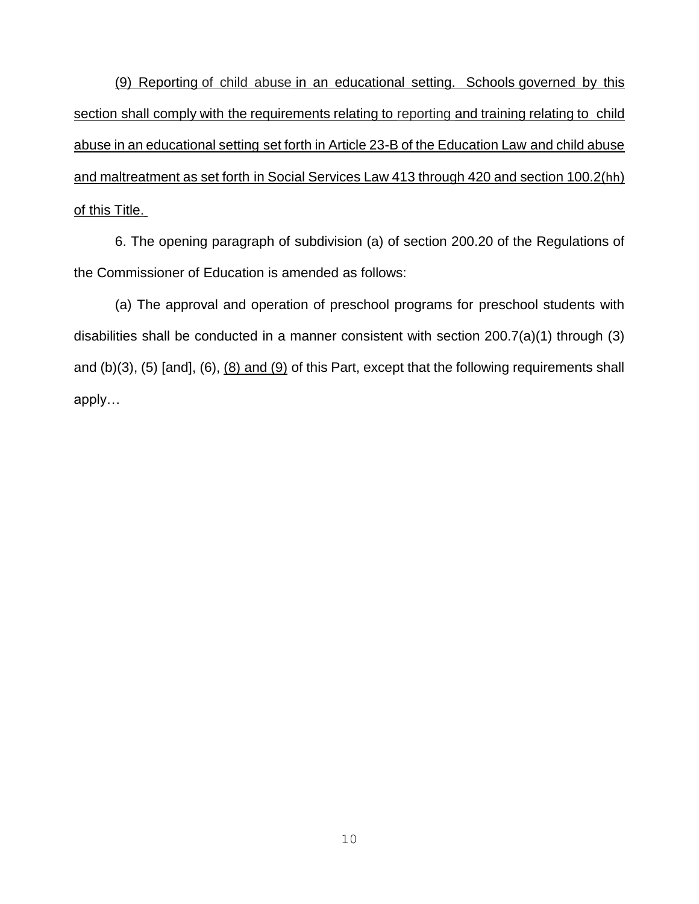(9) Reporting of child abuse in an educational setting. Schools governed by this section shall comply with the requirements relating to reporting and training relating to child abuse in an educational setting set forth in Article 23-B of the Education Law and child abuse and maltreatment as set forth in Social Services Law 413 through 420 and section 100.2(hh) of this Title.

6. The opening paragraph of subdivision (a) of section 200.20 of the Regulations of the Commissioner of Education is amended as follows:

(a) The approval and operation of preschool programs for preschool students with disabilities shall be conducted in a manner consistent with section 200.7(a)(1) through (3) and (b)(3), (5) [and], (6), (8) and (9) of this Part, except that the following requirements shall apply…